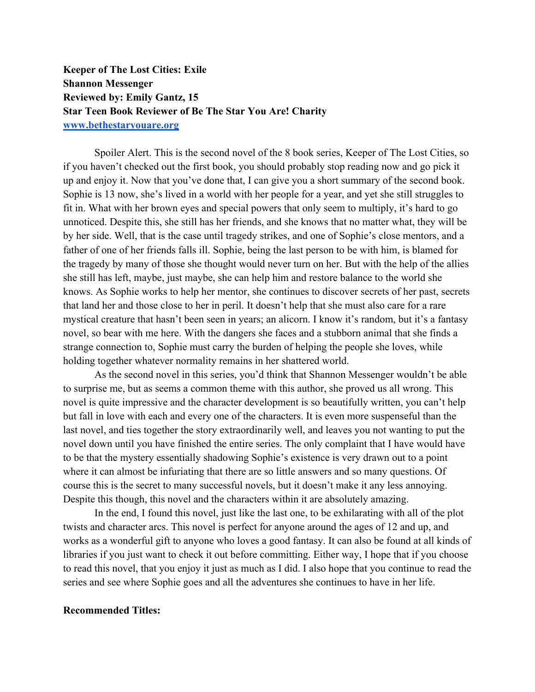**Keeper of The Lost Cities: Exile Shannon Messenger Reviewed by: Emily Gantz, 15 Star Teen Book Reviewer of Be The Star You Are! Charity www.bethestaryouare.org**

Spoiler Alert. This is the second novel of the 8 book series, Keeper of The Lost Cities, so if you haven't checked out the first book, you should probably stop reading now and go pick it up and enjoy it. Now that you've done that, I can give you a short summary of the second book. Sophie is 13 now, she's lived in a world with her people for a year, and yet she still struggles to fit in. What with her brown eyes and special powers that only seem to multiply, it's hard to go unnoticed. Despite this, she still has her friends, and she knows that no matter what, they will be by her side. Well, that is the case until tragedy strikes, and one of Sophie's close mentors, and a father of one of her friends falls ill. Sophie, being the last person to be with him, is blamed for the tragedy by many of those she thought would never turn on her. But with the help of the allies she still has left, maybe, just maybe, she can help him and restore balance to the world she knows. As Sophie works to help her mentor, she continues to discover secrets of her past, secrets that land her and those close to her in peril. It doesn't help that she must also care for a rare mystical creature that hasn't been seen in years; an alicorn. I know it's random, but it's a fantasy novel, so bear with me here. With the dangers she faces and a stubborn animal that she finds a strange connection to, Sophie must carry the burden of helping the people she loves, while holding together whatever normality remains in her shattered world.

As the second novel in this series, you'd think that Shannon Messenger wouldn't be able to surprise me, but as seems a common theme with this author, she proved us all wrong. This novel is quite impressive and the character development is so beautifully written, you can't help but fall in love with each and every one of the characters. It is even more suspenseful than the last novel, and ties together the story extraordinarily well, and leaves you not wanting to put the novel down until you have finished the entire series. The only complaint that I have would have to be that the mystery essentially shadowing Sophie's existence is very drawn out to a point where it can almost be infuriating that there are so little answers and so many questions. Of course this is the secret to many successful novels, but it doesn't make it any less annoying. Despite this though, this novel and the characters within it are absolutely amazing.

In the end, I found this novel, just like the last one, to be exhilarating with all of the plot twists and character arcs. This novel is perfect for anyone around the ages of 12 and up, and works as a wonderful gift to anyone who loves a good fantasy. It can also be found at all kinds of libraries if you just want to check it out before committing. Either way, I hope that if you choose to read this novel, that you enjoy it just as much as I did. I also hope that you continue to read the series and see where Sophie goes and all the adventures she continues to have in her life.

## **Recommended Titles:**